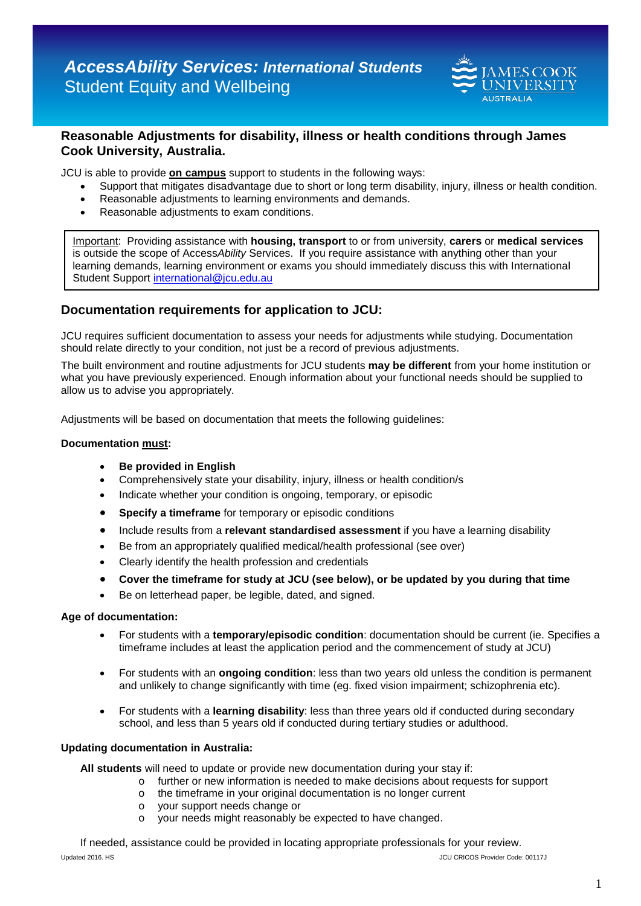

# **Reasonable Adjustments for disability, illness or health conditions through James Cook University, Australia.**

JCU is able to provide **on campus** support to students in the following ways:

- Support that mitigates disadvantage due to short or long term disability, injury, illness or health condition.
- Reasonable adjustments to learning environments and demands.
- Reasonable adjustments to exam conditions.

Important: Providing assistance with **housing, transport** to or from university, **carers** or **medical services** is outside the scope of Access*Ability* Services. If you require assistance with anything other than your learning demands, learning environment or exams you should immediately discuss this with International Student Support [international@jcu.edu.au](mailto:international@jcu.edu.au)

# **Documentation requirements for application to JCU:**

JCU requires sufficient documentation to assess your needs for adjustments while studying. Documentation should relate directly to your condition, not just be a record of previous adjustments.

The built environment and routine adjustments for JCU students **may be different** from your home institution or what you have previously experienced. Enough information about your functional needs should be supplied to allow us to advise you appropriately.

Adjustments will be based on documentation that meets the following guidelines:

#### **Documentation must:**

- **Be provided in English**
- Comprehensively state your disability, injury, illness or health condition/s
- Indicate whether your condition is ongoing, temporary, or episodic
- **Specify a timeframe** for temporary or episodic conditions
- Include results from a **relevant standardised assessment** if you have a learning disability
- Be from an appropriately qualified medical/health professional (see over)
- Clearly identify the health profession and credentials
- **Cover the timeframe for study at JCU (see below), or be updated by you during that time**
- Be on letterhead paper, be legible, dated, and signed.

#### **Age of documentation:**

- For students with a **temporary/episodic condition**: documentation should be current (ie. Specifies a timeframe includes at least the application period and the commencement of study at JCU)
- For students with an **ongoing condition**: less than two years old unless the condition is permanent and unlikely to change significantly with time (eg. fixed vision impairment; schizophrenia etc).
- For students with a **learning disability**: less than three years old if conducted during secondary school, and less than 5 years old if conducted during tertiary studies or adulthood.

#### **Updating documentation in Australia:**

**All students** will need to update or provide new documentation during your stay if:

- o further or new information is needed to make decisions about requests for support
- o the timeframe in your original documentation is no longer current
- o your support needs change or
- o your needs might reasonably be expected to have changed.

Updated 2016. HS JCU CRICOS Provider Code: 00117J If needed, assistance could be provided in locating appropriate professionals for your review.